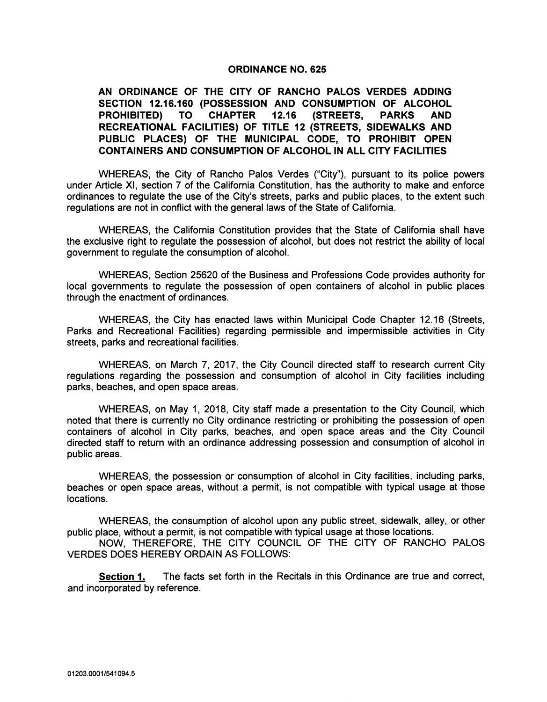## ORDINANCE NO. 625

AN ORDINANCE OF THE CITY OF RANCHO PALOS VERDES ADDING SECTION 12.16.160 (POSSESSION AND CONSUMPTION OF ALCOHOL PROHIBITED) TO CHAPTER 12.16 (STREETS, PARKS AND RECREATIONAL FACILITIES) OF TITLE 12 (STREETS, SIDEWALKS AND PUBLIC PLACES) OF THE MUNICIPAL CODE, TO PROHIBIT OPEN CONTAINERS AND CONSUMPTION OF ALCOHOL IN ALL CITY FACILITIES

WHEREAS, the City of Rancho Palos Verdes ("City"), pursuant to its police powers under Article XI, section 7 of the California Constitution, has the authority to make and enforce ordinances to regulate the use of the City's streets, parks and public places, to the extent such regulations are not in conflict with the general laws of the State of California.

WHEREAS, the California Constitution provides that the State of California shall have the exclusive right to regulate the possession of alcohol, but does not restrict the ability of local government to regulate the consumption of alcohol.

WHEREAS, Section 25620 of the Business and Professions Code provides authority for local governments to regulate the possession of open containers of alcohol in public places through the enactment of ordinances.

WHEREAS, the City has enacted laws within Municipal Code Chapter 12.16 (Streets, Parks and Recreational Facilities) regarding permissible and impermissible activities in City streets, parks and recreational facilities.

WHEREAS, on March 7, 2017, the City Council directed staff to research current City regulations regarding the possession and consumption of alcohol in City facilities including parks, beaches, and open space areas.

WHEREAS, on May 1, 2018, City staff made <sup>a</sup> presentation to the City Council, which noted that there is currently no City ordinance restricting or prohibiting the possession of open containers of alcohol in City parks, beaches, and open space areas and the City Council directed staff to return with an ordinance addressing possession and consumption of alcohol in public areas.

WHEREAS, the possession or consumption of alcohol in City facilities, including parks, beaches or open space areas, without a permit, is not compatible with typical usage at those locations.

WHEREAS, the consumption of alcohol upon any public street, sidewalk, alley, or other public place, without a permit, is not compatible with typical usage at those locations.

NOW, THEREFORE, THE CITY COUNCIL OF THE CITY OF RANCHO PALOS VERDES DOES HEREBY ORDAIN AS FOLLOWS:

Section 1. The facts set forth in the Recitals in this Ordinance are true and correct, and incorporated by reference.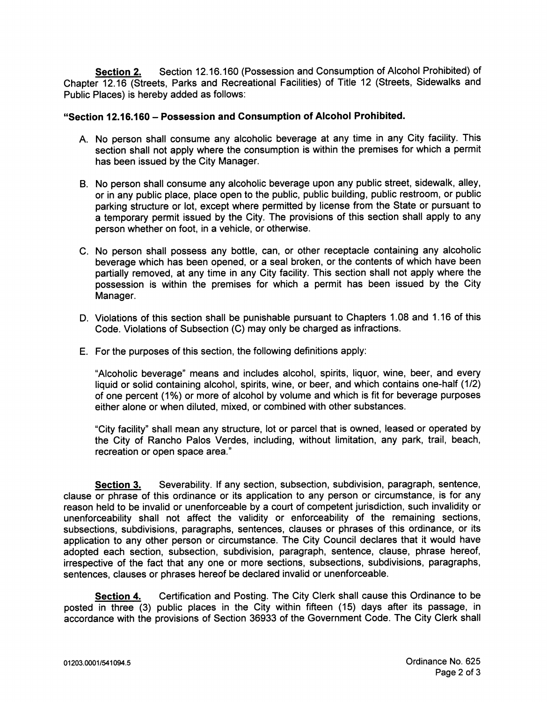Section 2. Section 12.16.160 (Possession and Consumption of Alcohol Prohibited) of Chapter 12.16 (Streets, Parks and Recreational Facilities) of Title 12 (Streets, Sidewalks and Public Places) is hereby added as follows:

## Section 12. 16. 160— Possession and Consumption of Alcohol Prohibited.

- A. No person shall consume any alcoholic beverage at any time in any City facility. This section shall not apply where the consumption is within the premises for which <sup>a</sup> permit has been issued by the City Manager.
- B. No person shall consume any alcoholic beverage upon any public street, sidewalk, alley, or in any public place, place open to the public, public building, public restroom, or public parking structure or lot, except where permitted by license from the State or pursuant to <sup>a</sup> temporary permit issued by the City. The provisions of this section shall apply to any person whether on foot, in a vehicle, or otherwise.
- C. No person shall possess any bottle, can, or other receptacle containing any alcoholic beverage which has been opened, or a seal broken, or the contents of which have been partially removed, at any time in any City facility. This section shall not apply where the possession is within the premises for which <sup>a</sup> permit has been issued by the City Manager.
- D. Violations of this section shall be punishable pursuant to Chapters 1. 08 and 1. 16 of this Code. Violations of Subsection (C) may only be charged as infractions.
- E. For the purposes of this section, the following definitions apply:

Alcoholic beverage" means and includes alcohol, spirits, liquor, wine, beer, and every liquid or solid containing alcohol, spirits, wine, or beer, and which contains one-half (1/2) of one percent ( 1%) or more of alcohol by volume and which is fit for beverage purposes either alone or when diluted, mixed, or combined with other substances.

City facility" shall mean any structure, lot or parcel that is owned, leased or operated by the City of Rancho Palos Verdes, including, without limitation, any park, trail, beach, recreation or open space area."

Section 3. Severability. If any section, subsection, subdivision, paragraph, sentence, clause or phrase of this ordinance or its application to any person or circumstance, is for any reason held to be invalid or unenforceable by <sup>a</sup> court of competent jurisdiction, such invalidity or unenforceability shall not affect the validity or enforceability of the remaining sections, subsections, subdivisions, paragraphs, sentences, clauses or phrases of this ordinance, or its application to any other person or circumstance. The City Council declares that it would have adopted each section, subsection, subdivision, paragraph, sentence, clause, phrase hereof, irrespective of the fact that any one or more sections, subsections, subdivisions, paragraphs, sentences, clauses or phrases hereof be declared invalid or unenforceable.

Section 4. Certification and Posting. The City Clerk shall cause this Ordinance to be posted in three (3) public places in the City within fifteen (15) days after its passage, in accordance with the provisions of Section 36933 of the Government Code. The City Clerk shall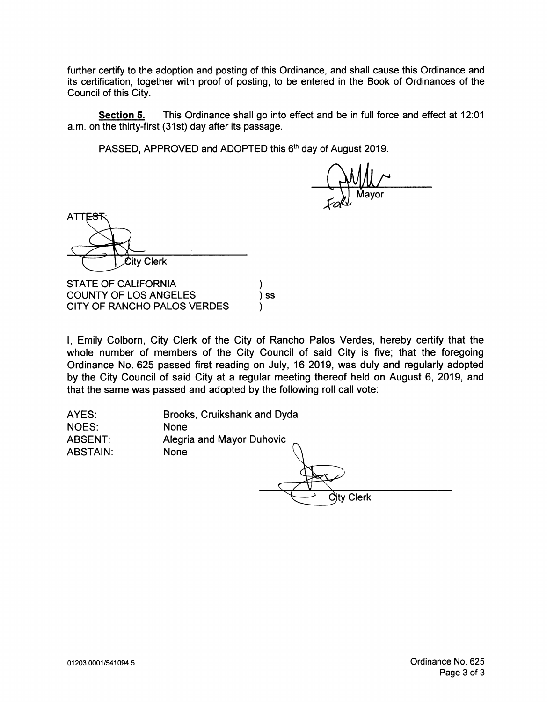further certify to the adoption and posting of this Ordinance, and shall cause this Ordinance and its certification, together with proof of posting, to be entered in the Book of Ordinances of the Council of this City.

Section 5. This Ordinance shall go into effect and be in full force and effect at 12:01 a. m. on the thirty-first ( 31st) day after its passage.

PASSED, APPROVED and ADOPTED this 6<sup>th</sup> day of August 2019.

Mayor

ATTE<sub>S</sub> **Clerk** 

STATE OF CALIFORNIA COUNTY OF LOS ANGELES (3) SS CITY OF RANCHO PALOS VERDES

I, Emily Colborn, City Clerk of the City of Rancho Palos Verdes, hereby certify that the whole number of members of the City Council of said City is five; that the foregoing Ordinance No. 625 passed first reading on July, 16 2019, was duly and regularly adopted by the City Council of said City at <sup>a</sup> regular meeting thereof held on August 6, 2019, and that the same was passed and adopted by the following roll call vote:

| AYES:           | Brooks, Cruikshank and Dyda      |
|-----------------|----------------------------------|
| <b>NOES:</b>    | <b>None</b>                      |
| ABSENT:         | <b>Alegria and Mayor Duhovic</b> |
| <b>ABSTAIN:</b> | None<br>City Clerk               |